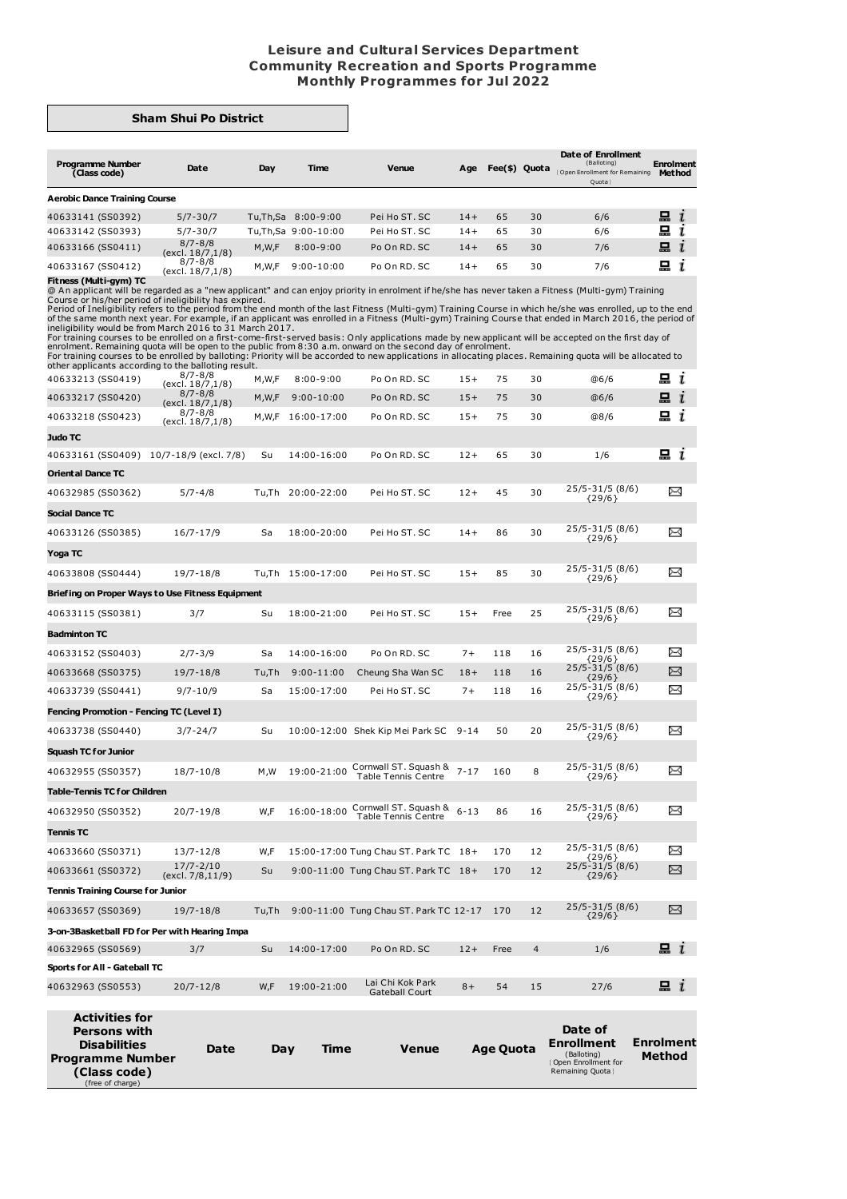## **Leisure and Cultural Services Department Community Recreation and Sports Programme Monthly Programmes for Jul 2022**

## **Sham Shui Po District**

| <b>Programme Number</b><br>(Class code) | Date                            | Day     | Time                 | Venue         | Age   | Fee(\$) Quota |    | Date of Enrollment<br>(Balloting)<br>Open Enrollment for Remaining<br>Quota | <b>Enrolment</b><br><b>Method</b> |
|-----------------------------------------|---------------------------------|---------|----------------------|---------------|-------|---------------|----|-----------------------------------------------------------------------------|-----------------------------------|
| <b>Aerobic Dance Training Course</b>    |                                 |         |                      |               |       |               |    |                                                                             |                                   |
| 40633141 (SS0392)                       | $5/7 - 30/7$                    |         | Tu, Th, Sa 8:00-9:00 | Pei Ho ST. SC | $14+$ | 65            | 30 | 6/6                                                                         | 묘                                 |
| 40633142 (SS0393)                       | $5/7 - 30/7$                    |         | Tu.Th.Sa 9:00-10:00  | Pei Ho ST. SC | $14+$ | 65            | 30 | 6/6                                                                         | 品                                 |
| 40633166 (SS0411)                       | $8/7 - 8/8$<br>(excl. 18/7,1/8) | M, W, F | $8:00 - 9:00$        | Po On RD, SC  | $14+$ | 65            | 30 | 7/6                                                                         | $\Xi$ i                           |
| 40633167 (SS0412)                       | $8/7 - 8/8$<br>(avrl 18/7 1/8)  | M.W.F   | $9:00 - 10:00$       | Po On RD, SC  | 14+   | 65            | 30 | 7/6                                                                         | 묘                                 |

40633167 (SS0412)  $8/7.8/8$  M,W,F 9:00-10:00 Po On RD. SC 14+ 65 30 7/6 **...**<br> **Fitness (Multi-gym) TC** (excl. 18/7,1/8) M,W,F 9:00-10:00 Po On RD. SC 14+ 65 30 7/6 **...**<br>
Comes or his/her period of ineligibility has expi

| <b>Persons with</b><br><b>Disabilities</b><br><b>Programme Number</b><br>(Class code)<br>(free of charge) | Date                                           | Day         | Time                          | Venue                                  |                | <b>Age Quota</b> |                         | Date of<br>Enrollment<br>(Balloting)<br>Open Enrollment for<br>Remaining Quota } | <b>Enrolment</b><br>Method |
|-----------------------------------------------------------------------------------------------------------|------------------------------------------------|-------------|-------------------------------|----------------------------------------|----------------|------------------|-------------------------|----------------------------------------------------------------------------------|----------------------------|
| <b>Activities for</b>                                                                                     |                                                |             |                               | Gateball Court                         |                |                  |                         |                                                                                  |                            |
| Sports for All - Gateball TC<br>40632963 (SS0553)                                                         | $20/7 - 12/8$                                  | W,F         | 19:00-21:00                   | Lai Chi Kok Park                       | $8+$           | 54               | 15                      | 27/6                                                                             | $\Box$ i                   |
| 40632965 (SS0569)                                                                                         | 3/7                                            | Su          | 14:00-17:00                   | Po On RD. SC                           | $12 +$         | Free             | $\overline{\mathbf{4}}$ | 1/6                                                                              | $\Box$ 1                   |
| 3-on-3Basketball FD for Per with Hearing Impa                                                             |                                                |             |                               |                                        |                |                  |                         |                                                                                  |                            |
| 40633657 (SS0369)                                                                                         | $19/7 - 18/8$                                  | Tu,Th       |                               | 9:00-11:00 Tung Chau ST. Park TC 12-17 |                | 170              | 12                      | ${29/6}$                                                                         | X                          |
| Tennis Training Course for Junior                                                                         |                                                |             |                               |                                        |                |                  |                         | 25/5-31/5 (8/6)                                                                  |                            |
| 40633661 (SS0372)                                                                                         | (excl. 7/8,11/9)                               | Su          |                               | 9:00-11:00 Tung Chau ST. Park TC 18+   |                | 170              | 12                      | ${29/6}$                                                                         | X                          |
| 40633660 (SS0371)                                                                                         | $13/7 - 12/8$<br>$17/7 - 2/10$                 | W,F         |                               | 15:00-17:00 Tung Chau ST. Park TC 18+  |                | 170              | 12                      | ${29/6}$<br>25/5-31/5 (8/6)                                                      | X                          |
| <b>Tennis TC</b>                                                                                          |                                                |             |                               |                                        |                |                  |                         | 25/5-31/5 (8/6)                                                                  |                            |
| 40632950 (SS0352)                                                                                         | $20/7 - 19/8$                                  | W,F         | 16:00-18:00                   | <b>Table Tennis Centre</b>             | $6 - 13$       | 86               | 16                      | ${29/6}$                                                                         | X                          |
| <b>Table-Tennis TC for Children</b>                                                                       |                                                |             |                               | Cornwall ST. Squash &                  |                |                  |                         | 25/5-31/5 (8/6)                                                                  |                            |
| 40632955 (SS0357)                                                                                         | $18/7 - 10/8$                                  | M,W         |                               | <b>Table Tennis Centre</b>             |                | 160              | 8                       | ${29/6}$                                                                         |                            |
| <b>Squash TC for Junior</b>                                                                               |                                                |             |                               | 19:00-21:00 Cornwall ST. Squash & 7-17 |                |                  |                         | 25/5-31/5 (8/6)                                                                  | ⊠                          |
|                                                                                                           |                                                |             |                               |                                        |                |                  |                         | ${29/6}$                                                                         |                            |
| Fencing Promotion - Fencing TC (Level I)<br>40633738 (SS0440)                                             | $3/7 - 24/7$                                   | Su          |                               | 10:00-12:00 Shek Kip Mei Park SC 9-14  |                | 50               | 20                      | 25/5-31/5 (8/6)                                                                  | ⊠                          |
| 40633739 (SS0441)                                                                                         |                                                |             |                               |                                        |                |                  |                         | ${29/6}$                                                                         |                            |
| 40633668 (SS0375)                                                                                         | 19/7-18/8<br>$9/7 - 10/9$                      | Tu,Th<br>Sa | $9:00 - 11:00$<br>15:00-17:00 | Cheung Sha Wan SC<br>Pei Ho ST. SC     | $18 +$<br>$7+$ | 118<br>118       | 16<br>16                | ${29/6}$<br>25/5-31/5 (8/6)                                                      | X                          |
| 40633152 (SS0403)                                                                                         | $2/7 - 3/9$                                    | Sa          | 14:00-16:00                   | Po On RD. SC                           | $7+$           | 118              | 16                      | ${29/6}$<br>25/5-31/5 (8/6)                                                      | X<br>$\Join$               |
| <b>Badminton TC</b>                                                                                       |                                                |             |                               |                                        |                |                  |                         | 25/5-31/5 (8/6)                                                                  |                            |
| 40633115 (SS0381)                                                                                         | 3/7                                            | Su          | 18:00-21:00                   | Pei Ho ST. SC                          |                | Free             |                         | ${29/6}$                                                                         |                            |
| Briefing on Proper Ways to Use Fitness Equipment                                                          |                                                |             |                               |                                        | $15+$          |                  | 25                      | 25/5-31/5 (8/6)                                                                  | χ                          |
| 40633808 (SS0444)                                                                                         | $19/7 - 18/8$                                  |             | Tu,Th 15:00-17:00             | Pei Ho ST. SC                          | $15+$          |                  |                         | ${29/6}$                                                                         |                            |
| Yoga TC                                                                                                   |                                                |             |                               |                                        |                | 85               | 30                      | 25/5-31/5 (8/6)                                                                  | $\Join$                    |
| 40633126 (SS0385)                                                                                         | $16/7 - 17/9$                                  | Sa          | 18:00-20:00                   | Pei Ho ST. SC                          | $14+$          | 86               | 30                      | ${29/6}$                                                                         |                            |
| Social Dance TC                                                                                           |                                                |             |                               |                                        |                |                  |                         | 25/5-31/5 (8/6)                                                                  | X                          |
|                                                                                                           |                                                |             |                               |                                        |                |                  |                         | ${29/6}$                                                                         |                            |
| 40632985 (SS0362)                                                                                         | $5/7 - 4/8$                                    |             | Tu,Th 20:00-22:00             | Pei Ho ST. SC                          | $12+$          | 45               | 30                      | 25/5-31/5 (8/6)                                                                  | X                          |
| 40633161 (SS0409) 10/7-18/9 (excl. 7/8)<br><b>Oriental Dance TC</b>                                       |                                                | Su          | 14:00-16:00                   | Po On RD. SC                           | $12+$          | 65               | 30                      | 1/6                                                                              | uί                         |
| <b>Judo TC</b>                                                                                            |                                                |             |                               |                                        |                |                  |                         |                                                                                  |                            |
| 40633218 (SS0423)                                                                                         | (excl. 18/7,1/8)                               |             | M, W, F 16:00-17:00           | Po On RD. SC                           | $15+$          | 75               | 30                      | @8/6                                                                             | 묘<br>$\mathbf{I}$          |
| 40633217 (SS0420)                                                                                         | $8/7 - 8/8$<br>(excl. 18/7,1/8)<br>$8/7 - 8/8$ | M, W, F     | $9:00 - 10:00$                | Po On RD. SC                           | $15+$          | 75               | 30                      | @6/6                                                                             | $\Box$ $i$                 |
| 40633213 (SS0419)                                                                                         | 817-818<br>(excl. 18/7,1/8)                    | M,W,F       | $8:00 - 9:00$                 | Po On RD. SC                           | $15+$          | 75               | 30                      | @6/6                                                                             | 므 <i>ι</i>                 |